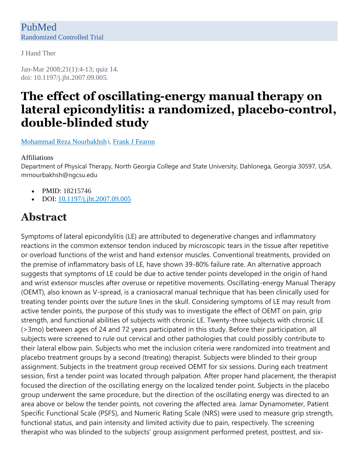#### J Hand Ther

Jan-Mar 2008;21(1):4-13; quiz 14. doi: 10.1197/j.jht.2007.09.005.

# **The effect of oscillating-energy manual therapy on lateral epicondylitis: a randomized, placebo-control, double-blinded study**

[Mohammad Reza Nourbakhsh](https://pubmed.ncbi.nlm.nih.gov/?term=Nourbakhsh+MR&cauthor_id=18215746)<sup>1</sup>[,](https://pubmed.ncbi.nlm.nih.gov/18215746/#affiliation-1) [Frank J Fearon](https://pubmed.ncbi.nlm.nih.gov/?term=Fearon+FJ&cauthor_id=18215746)

#### Affiliations

Department of Physical Therapy, North Georgia College and State University, Dahlonega, Georgia 30597, USA. mrnourbakhsh@ngcsu.edu

- PMID: 18215746
- DOI: [10.1197/j.jht.2007.09.005](https://doi.org/10.1197/j.jht.2007.09.005)

### **Abstract**

Symptoms of lateral epicondylitis (LE) are attributed to degenerative changes and inflammatory reactions in the common extensor tendon induced by microscopic tears in the tissue after repetitive or overload functions of the wrist and hand extensor muscles. Conventional treatments, provided on the premise of inflammatory basis of LE, have shown 39-80% failure rate. An alternative approach suggests that symptoms of LE could be due to active tender points developed in the origin of hand and wrist extensor muscles after overuse or repetitive movements. Oscillating-energy Manual Therapy (OEMT), also known as V-spread, is a craniosacral manual technique that has been clinically used for treating tender points over the suture lines in the skull. Considering symptoms of LE may result from active tender points, the purpose of this study was to investigate the effect of OEMT on pain, grip strength, and functional abilities of subjects with chronic LE. Twenty-three subjects with chronic LE (>3mo) between ages of 24 and 72 years participated in this study. Before their participation, all subjects were screened to rule out cervical and other pathologies that could possibly contribute to their lateral elbow pain. Subjects who met the inclusion criteria were randomized into treatment and placebo treatment groups by a second (treating) therapist. Subjects were blinded to their group assignment. Subjects in the treatment group received OEMT for six sessions. During each treatment session, first a tender point was located through palpation. After proper hand placement, the therapist focused the direction of the oscillating energy on the localized tender point. Subjects in the placebo group underwent the same procedure, but the direction of the oscillating energy was directed to an area above or below the tender points, not covering the affected area. Jamar Dynamometer, Patient Specific Functional Scale (PSFS), and Numeric Rating Scale (NRS) were used to measure grip strength, functional status, and pain intensity and limited activity due to pain, respectively. The screening therapist who was blinded to the subjects' group assignment performed pretest, posttest, and six-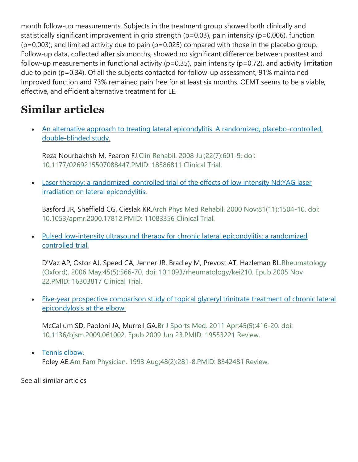month follow-up measurements. Subjects in the treatment group showed both clinically and statistically significant improvement in grip strength (p=0.03), pain intensity (p=0.006), function  $(p=0.003)$ , and limited activity due to pain  $(p=0.025)$  compared with those in the placebo group. Follow-up data, collected after six months, showed no significant difference between posttest and follow-up measurements in functional activity ( $p=0.35$ ), pain intensity ( $p=0.72$ ), and activity limitation due to pain (p=0.34). Of all the subjects contacted for follow-up assessment, 91% maintained improved function and 73% remained pain free for at least six months. OEMT seems to be a viable, effective, and efficient alternative treatment for LE.

## **Similar articles**

• [An alternative approach to treating lateral epicondylitis. A randomized, placebo-controlled,](https://pubmed.ncbi.nlm.nih.gov/18586811/)  [double-blinded study.](https://pubmed.ncbi.nlm.nih.gov/18586811/)

Reza Nourbakhsh M, Fearon FJ.Clin Rehabil. 2008 Jul;22(7):601-9. doi: 10.1177/0269215507088447.PMID: 18586811 Clinical Trial.

• Laser therapy: a randomized, controlled trial of the effects of low intensity Nd:YAG laser [irradiation on lateral epicondylitis.](https://pubmed.ncbi.nlm.nih.gov/11083356/)

Basford JR, Sheffield CG, Cieslak KR.Arch Phys Med Rehabil. 2000 Nov;81(11):1504-10. doi: 10.1053/apmr.2000.17812.PMID: 11083356 Clinical Trial.

• Pulsed low-intensity ultrasound therapy for chronic lateral epicondylitis: a randomized [controlled trial.](https://pubmed.ncbi.nlm.nih.gov/16303817/)

D'Vaz AP, Ostor AJ, Speed CA, Jenner JR, Bradley M, Prevost AT, Hazleman BL.Rheumatology (Oxford). 2006 May;45(5):566-70. doi: 10.1093/rheumatology/kei210. Epub 2005 Nov 22.PMID: 16303817 Clinical Trial.

• [Five-year prospective comparison study of topical glyceryl trinitrate treatment of chronic lateral](https://pubmed.ncbi.nlm.nih.gov/19553221/)  [epicondylosis at the elbow.](https://pubmed.ncbi.nlm.nih.gov/19553221/)

McCallum SD, Paoloni JA, Murrell GA.Br J Sports Med. 2011 Apr;45(5):416-20. doi: 10.1136/bjsm.2009.061002. Epub 2009 Jun 23.PMID: 19553221 Review.

• [Tennis elbow.](https://pubmed.ncbi.nlm.nih.gov/8342481/) Foley AE.Am Fam Physician. 1993 Aug;48(2):281-8.PMID: 8342481 Review.

See all similar articles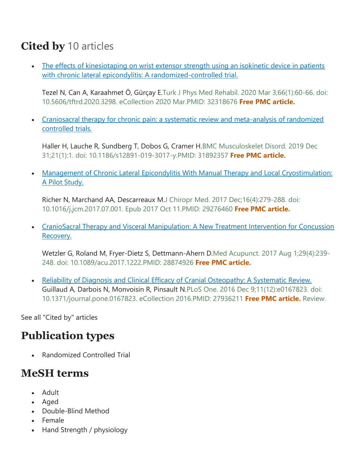# **Cited by** 10 articles

• [The effects of kinesiotaping on wrist extensor strength using an isokinetic device in patients](https://pubmed.ncbi.nlm.nih.gov/32318676/)  [with chronic lateral epicondylitis: A randomized-controlled trial.](https://pubmed.ncbi.nlm.nih.gov/32318676/)

Tezel N, Can A, Karaahmet Ö, Gürçay E.Turk J Phys Med Rehabil. 2020 Mar 3;66(1):60-66. doi: 10.5606/tftrd.2020.3298. eCollection 2020 Mar.PMID: 32318676 **Free PMC article.**

• [Craniosacral therapy for chronic pain: a systematic review and meta-analysis of randomized](https://pubmed.ncbi.nlm.nih.gov/31892357/)  [controlled trials.](https://pubmed.ncbi.nlm.nih.gov/31892357/)

Haller H, Lauche R, Sundberg T, Dobos G, Cramer H.BMC Musculoskelet Disord. 2019 Dec 31;21(1):1. doi: 10.1186/s12891-019-3017-y.PMID: 31892357 **Free PMC article.**

• Management of Chronic Lateral Epicondylitis With Manual Therapy and Local Cryostimulation: [A Pilot Study.](https://pubmed.ncbi.nlm.nih.gov/29276460/)

Richer N, Marchand AA, Descarreaux M.J Chiropr Med. 2017 Dec;16(4):279-288. doi: 10.1016/j.jcm.2017.07.001. Epub 2017 Oct 11.PMID: 29276460 **Free PMC article.**

• [CranioSacral Therapy and Visceral Manipulation: A New Treatment Intervention for Concussion](https://pubmed.ncbi.nlm.nih.gov/28874926/)  [Recovery.](https://pubmed.ncbi.nlm.nih.gov/28874926/)

Wetzler G, Roland M, Fryer-Dietz S, Dettmann-Ahern D.Med Acupunct. 2017 Aug 1;29(4):239- 248. doi: 10.1089/acu.2017.1222.PMID: 28874926 **Free PMC article.**

• [Reliability of Diagnosis and Clinical Efficacy of Cranial Osteopathy: A Systematic Review.](https://pubmed.ncbi.nlm.nih.gov/27936211/) Guillaud A, Darbois N, Monvoisin R, Pinsault N.PLoS One. 2016 Dec 9;11(12):e0167823. doi: 10.1371/journal.pone.0167823. eCollection 2016.PMID: 27936211 **Free PMC article.** Review.

See all "Cited by" articles

### **Publication types**

• Randomized Controlled Trial

### **MeSH terms**

- Adult
- Aged
- Double-Blind Method
- Female
- Hand Strength / physiology